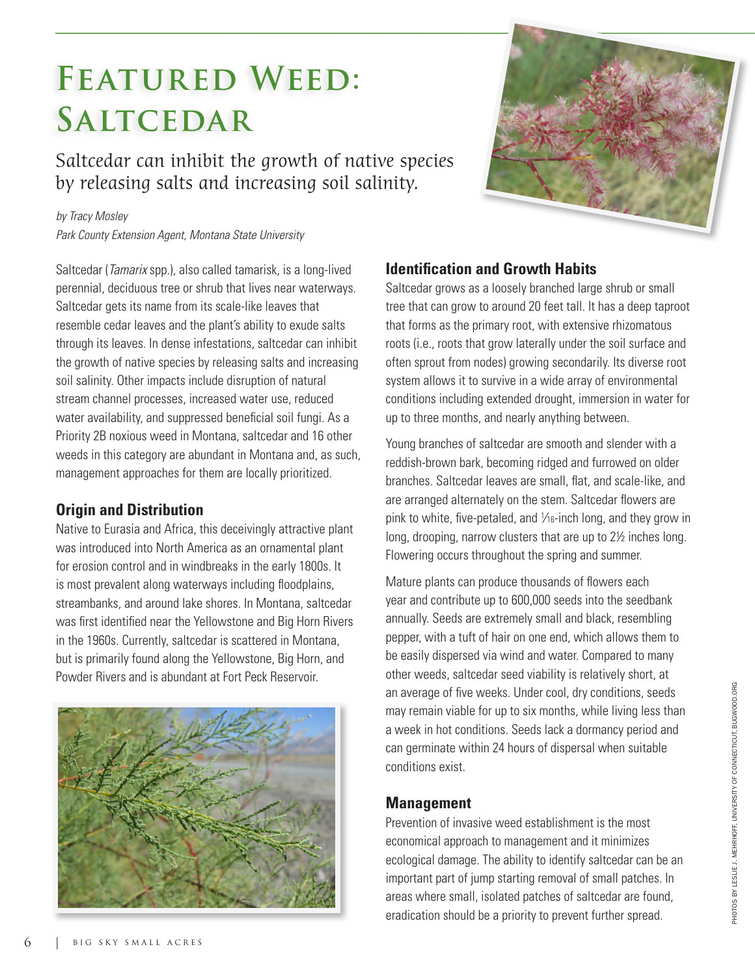# FEATURED WEED: **Saltcedar**

Saltcedar can inhibit the growth of native species by releasing salts and increasing soil salinity.

#### *by Tracy Mosley*

*Park County Extension Agent, Montana State University*

Saltcedar (*Tamarix* spp.), also called tamarisk, is a long-lived perennial, deciduous tree or shrub that lives near waterways. Saltcedar gets its name from its scale-like leaves that resemble cedar leaves and the plant's ability to exude salts through its leaves. In dense infestations, saltcedar can inhibit the growth of native species by releasing salts and increasing soil salinity. Other impacts include disruption of natural stream channel processes, increased water use, reduced water availability, and suppressed beneficial soil fungi. As a Priority 2B noxious weed in Montana, saltcedar and 16 other weeds in this category are abundant in Montana and, as such, management approaches for them are locally prioritized.

# **Origin and Distribution**

Native to Eurasia and Africa, this deceivingly attractive plant was introduced into North America as an ornamental plant for erosion control and in windbreaks in the early 1800s. It is most prevalent along waterways including floodplains, streambanks, and around lake shores. In Montana, saltcedar was first identified near the Yellowstone and Big Horn Rivers in the 1960s. Currently, saltcedar is scattered in Montana, but is primarily found along the Yellowstone, Big Horn, and Powder Rivers and is abundant at Fort Peck Reservoir.





## **Identification and Growth Habits**

Saltcedar grows as a loosely branched large shrub or small tree that can grow to around 20 feet tall. It has a deep taproot that forms as the primary root, with extensive rhizomatous roots (i.e., roots that grow laterally under the soil surface and often sprout from nodes) growing secondarily. Its diverse root system allows it to survive in a wide array of environmental conditions including extended drought, immersion in water for up to three months, and nearly anything between.

Young branches of saltcedar are smooth and slender with a reddish-brown bark, becoming ridged and furrowed on older branches. Saltcedar leaves are small, flat, and scale-like, and are arranged alternately on the stem. Saltcedar flowers are pink to white, five-petaled, and 1⁄16-inch long, and they grow in long, drooping, narrow clusters that are up to 2½ inches long. Flowering occurs throughout the spring and summer.

Mature plants can produce thousands of flowers each year and contribute up to 600,000 seeds into the seedbank annually. Seeds are extremely small and black, resembling pepper, with a tuft of hair on one end, which allows them to be easily dispersed via wind and water. Compared to many other weeds, saltcedar seed viability is relatively short, at an average of five weeks. Under cool, dry conditions, seeds may remain viable for up to six months, while living less than a week in hot conditions. Seeds lack a dormancy period and can germinate within 24 hours of dispersal when suitable conditions exist.

## **Management**

Prevention of invasive weed establishment is the most economical approach to management and it minimizes ecological damage. The ability to identify saltcedar can be an important part of jump starting removal of small patches. In areas where small, isolated patches of saltcedar are found, eradication should be a priority to prevent further spread.